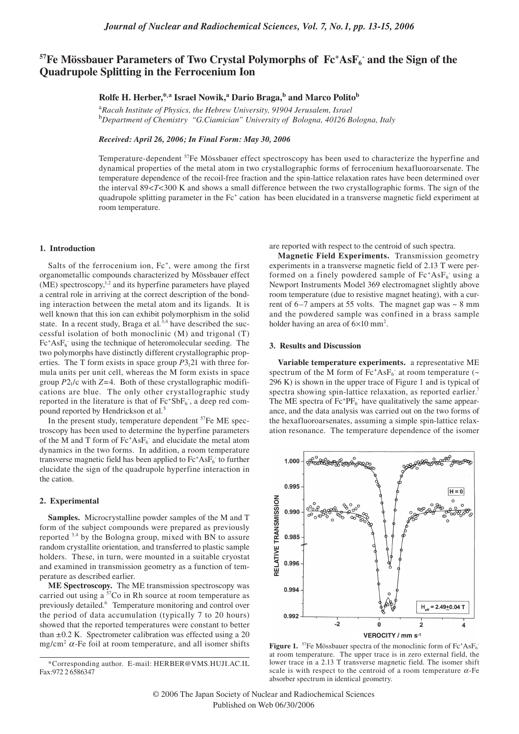# <sup>57</sup>Fe Mössbauer Parameters of Two Crystal Polymorphs of Fc<sup>+</sup>AsF<sub>6</sub><sup>-</sup> and the Sign of the **Quadrupole Splitting in the Ferrocenium Ion**

## **Rolfe H. Herber,\*,a Israel Nowik,<sup>a</sup> Dario Braga,b and Marco Politob**

<sup>a</sup>*Racah Institute of Physics, the Hebrew University, 91904 Jerusalem, Israel*  <sup>b</sup>Department of Chemistry "G.Ciamician" University of Bologna, 40126 Bologna, Italy

*Received: April 26, 2006; In Final Form: May 30, 2006*

Temperature-dependent <sup>57</sup>Fe Mössbauer effect spectroscopy has been used to characterize the hyperfine and dynamical properties of the metal atom in two crystallographic forms of ferrocenium hexafluoroarsenate. The temperature dependence of the recoil-free fraction and the spin-lattice relaxation rates have been determined over the interval 89<*T*<300 K and shows a small difference between the two crystallographic forms. The sign of the quadrupole splitting parameter in the Fc<sup>+</sup> cation has been elucidated in a transverse magnetic field experiment at room temperature.

#### **1. Introduction**

Salts of the ferrocenium ion, Fc<sup>+</sup>, were among the first organometallic compounds characterized by Mössbauer effect  $(ME)$  spectroscopy,<sup>1,2</sup> and its hyperfine parameters have played a central role in arriving at the correct description of the bonding interaction between the metal atom and its ligands. It is well known that this ion can exhibit polymorphism in the solid state. In a recent study, Braga et al.<sup>3,4</sup> have described the successful isolation of both monoclinic (M) and trigonal (T) Fc<sup>+</sup>AsF<sub>6</sub> using the technique of heteromolecular seeding. The two polymorphs have distinctly different crystallographic properties. The T form exists in space group  $P3<sub>1</sub>21$  with three formula units per unit cell, whereas the M form exists in space group *P*21/c with *Z*=4. Both of these crystallographic modifications are blue. The only other crystallographic study reported in the literature is that of  $Fc^+SbF_6$ , a deep red compound reported by Hendrickson et al*.* 5

In the present study, temperature dependent  ${}^{57}Fe$  ME spectroscopy has been used to determine the hyperfine parameters of the M and T form of  $Fc^+AsF_6^-$  and elucidate the metal atom dynamics in the two forms. In addition, a room temperature transverse magnetic field has been applied to  $Fc^+AsF_6^-$  to further elucidate the sign of the quadrupole hyperfine interaction in the cation.

#### **2. Experimental**

**Samples.** Microcrystalline powder samples of the M and T form of the subject compounds were prepared as previously reported 3,4 by the Bologna group, mixed with BN to assure random crystallite orientation, and transferred to plastic sample holders. These, in turn, were mounted in a suitable cryostat and examined in transmission geometry as a function of temperature as described earlier.

**ME Spectroscopy.** The ME transmission spectroscopy was carried out using a <sup>57</sup>Co in Rh source at room temperature as previously detailed.<sup>6</sup> Temperature monitoring and control over the period of data accumulation (typically 7 to 20 hours) showed that the reported temperatures were constant to better than  $\pm 0.2$  K. Spectrometer calibration was effected using a 20 mg/cm<sup>2</sup>  $\alpha$ -Fe foil at room temperature, and all isomer shifts are reported with respect to the centroid of such spectra.

**Magnetic Field Experiments.** Transmission geometry experiments in a transverse magnetic field of 2.13 T were performed on a finely powdered sample of Fc<sup>+</sup>AsF<sub>6</sub> using a Newport Instruments Model 369 electromagnet slightly above room temperature (due to resistive magnet heating), with a current of  $6-7$  ampers at 55 volts. The magnet gap was  $\sim 8$  mm and the powdered sample was confined in a brass sample holder having an area of  $6\times10$  mm<sup>2</sup>.

#### **3. Results and Discussion**

**Variable temperature experiments.** a representative ME spectrum of the M form of  $Fc^+AsF_6$  at room temperature (~ 296 K) is shown in the upper trace of Figure 1 and is typical of spectra showing spin-lattice relaxation, as reported earlier.<sup>7</sup> The ME spectra of Fc<sup>+</sup>PF<sub>6</sub> have qualitatively the same appearance, and the data analysis was carried out on the two forms of the hexafluoroarsenates, assuming a simple spin-lattice relaxation resonance. The temperature dependence of the isomer



**Figure 1.** <sup>57</sup>Fe Mössbauer spectra of the monoclinic form of  $\text{Fc}^+ \text{AsF}_6$ at room temperature. The upper trace is in zero external field, the lower trace in a 2.13 T transverse magnetic field. The isomer shift scale is with respect to the centroid of a room temperature  $\alpha$ -Fe absorber spectrum in identical geometry.

<sup>\*</sup>Corresponding author. E-mail: HERBER@VMS.HUJI.AC.IL Fax:972 2 6586347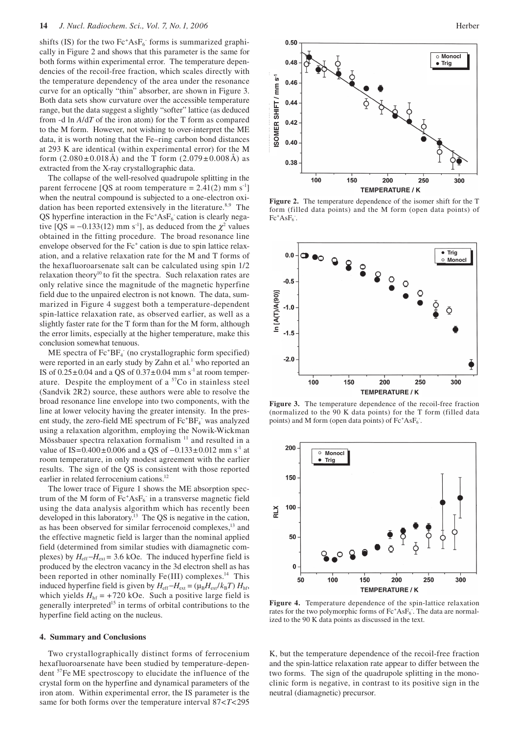shifts (IS) for the two Fc<sup>+</sup>AsF<sub>6</sub> forms is summarized graphically in Figure 2 and shows that this parameter is the same for both forms within experimental error. The temperature dependencies of the recoil-free fraction, which scales directly with the temperature dependency of the area under the resonance curve for an optically "thin" absorber, are shown in Figure 3. Both data sets show curvature over the accessible temperature range, but the data suggest a slightly "softer" lattice (as deduced from -d ln *A*/d*T* of the iron atom) for the T form as compared to the M form. However, not wishing to over-interpret the ME data, it is worth noting that the Fe–ring carbon bond distances at 293 K are identical (within experimental error) for the M form  $(2.080 \pm 0.018 \text{ Å})$  and the T form  $(2.079 \pm 0.008 \text{ Å})$  as extracted from the X-ray crystallographic data.

The collapse of the well-resolved quadrupole splitting in the parent ferrocene [QS at room temperature =  $2.41(2)$  mm s<sup>-1</sup>] when the neutral compound is subjected to a one-electron oxidation has been reported extensively in the literature. $8.9$  The QS hyperfine interaction in the Fc<sup>+</sup>AsF<sub>6</sub> cation is clearly negative [QS = -0.133(12) mm s<sup>-1</sup>], as deduced from the  $\chi^2$  values obtained in the fitting procedure. The broad resonance line envelope observed for the Fc<sup>+</sup> cation is due to spin lattice relaxation, and a relative relaxation rate for the M and T forms of the hexafluoroarsenate salt can be calculated using spin 1/2 relaxation theory<sup>10</sup> to fit the spectra. Such relaxation rates are only relative since the magnitude of the magnetic hyperfine field due to the unpaired electron is not known. The data, summarized in Figure 4 suggest both a temperature-dependent spin-lattice relaxation rate, as observed earlier, as well as a slightly faster rate for the T form than for the M form, although the error limits, especially at the higher temperature, make this conclusion somewhat tenuous.

ME spectra of Fc<sup>+</sup>BF<sub>4</sub> (no crystallographic form specified) were reported in an early study by Zahn et al.<sup>1</sup> who reported an IS of  $0.25\pm0.04$  and a QS of  $0.37\pm0.04$  mm s<sup>-1</sup> at room temperature. Despite the employment of a  $57Co$  in stainless steel (Sandvik 2R2) source, these authors were able to resolve the broad resonance line envelope into two components, with the line at lower velocity having the greater intensity. In the present study, the zero-field ME spectrum of Fc<sup>+</sup>BF<sub>4</sub> was analyzed using a relaxation algorithm, employing the Nowik-Wickman Mössbauer spectra relaxation formalism 11 and resulted in a value of IS= $0.400 \pm 0.006$  and a QS of  $-0.133 \pm 0.012$  mm s<sup>-1</sup> at room temperature, in only modest agreement with the earlier results. The sign of the QS is consistent with those reported earlier in related ferrocenium cations.<sup>12</sup>

The lower trace of Figure 1 shows the ME absorption spectrum of the M form of  $Fc^+AsF_6$  in a transverse magnetic field using the data analysis algorithm which has recently been developed in this laboratory.<sup>13</sup> The QS is negative in the cation, as has been observed for similar ferrocenoid complexes,<sup>13</sup> and the effective magnetic field is larger than the nominal applied field (determined from similar studies with diamagnetic complexes) by  $H_{\text{eff}}-H_{\text{ext}} = 3.6$  kOe. The induced hyperfine field is produced by the electron vacancy in the 3d electron shell as has been reported in other nominally Fe(III) complexes.<sup>14</sup> This induced hyperfine field is given by  $H_{\text{eff}} - H_{\text{ext}} = (\mu_B H_{\text{ext}} / k_B T) H_{\text{hf}}$ , which yields  $H<sub>hf</sub> = +720$  kOe. Such a positive large field is generally interpreted<sup>15</sup> in terms of orbital contributions to the hyperfine field acting on the nucleus.

#### **4. Summary and Conclusions**

Two crystallographically distinct forms of ferrocenium hexafluoroarsenate have been studied by temperature-dependent 57Fe ME spectroscopy to elucidate the influence of the crystal form on the hyperfine and dynamical parameters of the iron atom. Within experimental error, the IS parameter is the same for both forms over the temperature interval 87<*T*<295



**Figure 2.** The temperature dependence of the isomer shift for the T form (filled data points) and the M form (open data points) of  $Fc^+AsF_6$ .



**Figure 3.** The temperature dependence of the recoil-free fraction (normalized to the 90 K data points) for the T form (filled data points) and M form (open data points) of Fc+AsF<sub>6</sub>.



**Figure 4.** Temperature dependence of the spin-lattice relaxation rates for the two polymorphic forms of Fc<sup>+</sup>AsF<sub>6</sub>. The data are normalized to the 90 K data points as discussed in the text.

K, but the temperature dependence of the recoil-free fraction and the spin-lattice relaxation rate appear to differ between the two forms. The sign of the quadrupole splitting in the monoclinic form is negative, in contrast to its positive sign in the neutral (diamagnetic) precursor.